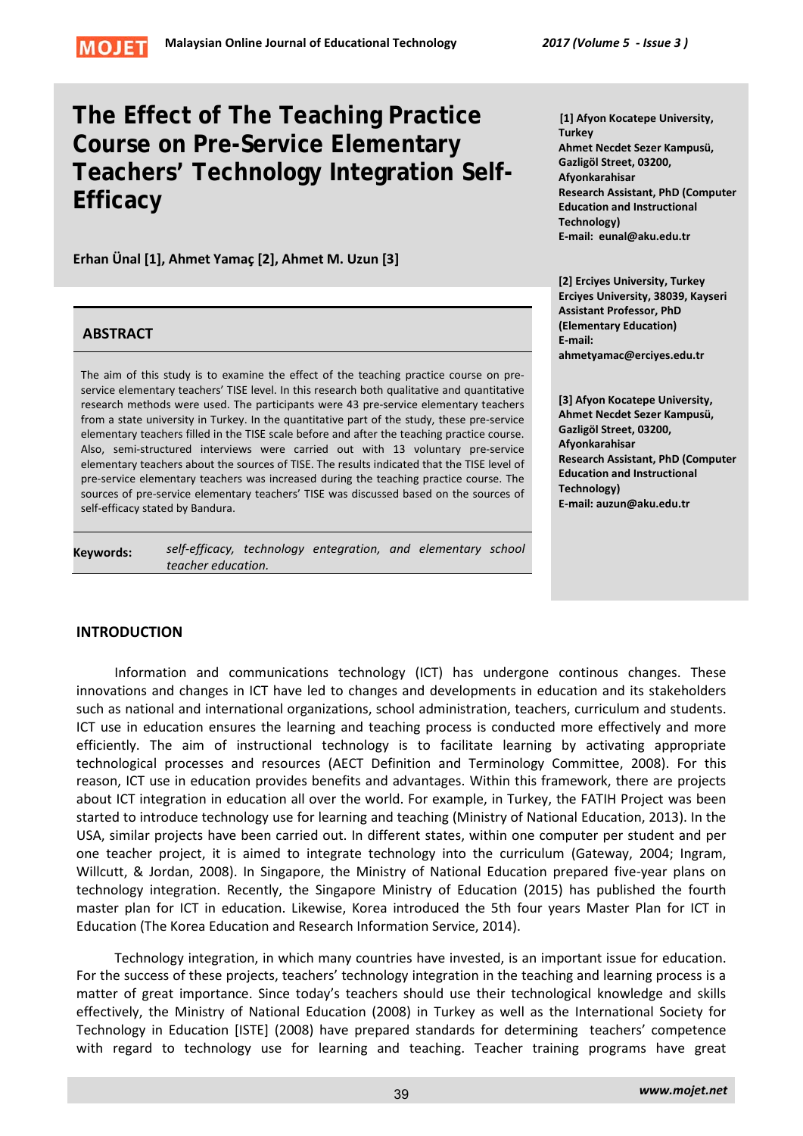

# **The Effect of The Teaching Practice Course on Pre-Service Elementary Teachers' Technology Integration Self-Efficacy**

**Erhan Ünal [1], Ahmet Yamaç [2], Ahmet M. Uzun [3]**

# **ABSTRACT**

The aim of this study is to examine the effect of the teaching practice course on preservice elementary teachers' TISE level. In this research both qualitative and quantitative research methods were used. The participants were 43 pre-service elementary teachers from a state university in Turkey. In the quantitative part of the study, these pre-service elementary teachers filled in the TISE scale before and after the teaching practice course. Also, semi-structured interviews were carried out with 13 voluntary pre-service elementary teachers about the sources of TISE. The results indicated that the TISE level of pre-service elementary teachers was increased during the teaching practice course. The sources of pre-service elementary teachers' TISE was discussed based on the sources of self-efficacy stated by Bandura.

**Keywords:** *self-efficacy, technology entegration, and elementary school teacher education.*

**[1] Afyon Kocatepe University, Turkey Ahmet Necdet Sezer Kampusü, Gazligöl Street, 03200, Afyonkarahisar Research Assistant, PhD (Computer Education and Instructional Technology) E-mail: eunal@aku.edu.tr**

**[2] Erciyes University, Turkey Erciyes University, 38039, Kayseri Assistant Professor, PhD (Elementary Education) E-mail: ahmetyamac@erciyes.edu.tr** 

**[3] Afyon Kocatepe University, Ahmet Necdet Sezer Kampusü, Gazligöl Street, 03200, Afyonkarahisar Research Assistant, PhD (Computer Education and Instructional Technology) E-mail: auzun@aku.edu.tr**

# **INTRODUCTION**

Information and communications technology (ICT) has undergone continous changes. These innovations and changes in ICT have led to changes and developments in education and its stakeholders such as national and international organizations, school administration, teachers, curriculum and students. ICT use in education ensures the learning and teaching process is conducted more effectively and more efficiently. The aim of instructional technology is to facilitate learning by activating appropriate technological processes and resources (AECT Definition and Terminology Committee, 2008). For this reason, ICT use in education provides benefits and advantages. Within this framework, there are projects about ICT integration in education all over the world. For example, in Turkey, the FATIH Project was been started to introduce technology use for learning and teaching (Ministry of National Education, 2013). In the USA, similar projects have been carried out. In different states, within one computer per student and per one teacher project, it is aimed to integrate technology into the curriculum (Gateway, 2004; Ingram, Willcutt, & Jordan, 2008). In Singapore, the Ministry of National Education prepared five-year plans on technology integration. Recently, the Singapore Ministry of Education (2015) has published the fourth master plan for ICT in education. Likewise, Korea introduced the 5th four years Master Plan for ICT in Education (The Korea Education and Research Information Service, 2014).

Technology integration, in which many countries have invested, is an important issue for education. For the success of these projects, teachers' technology integration in the teaching and learning process is a matter of great importance. Since today's teachers should use their technological knowledge and skills effectively, the Ministry of National Education (2008) in Turkey as well as the International Society for Technology in Education [ISTE] (2008) have prepared standards for determining teachers' competence with regard to technology use for learning and teaching. Teacher training programs have great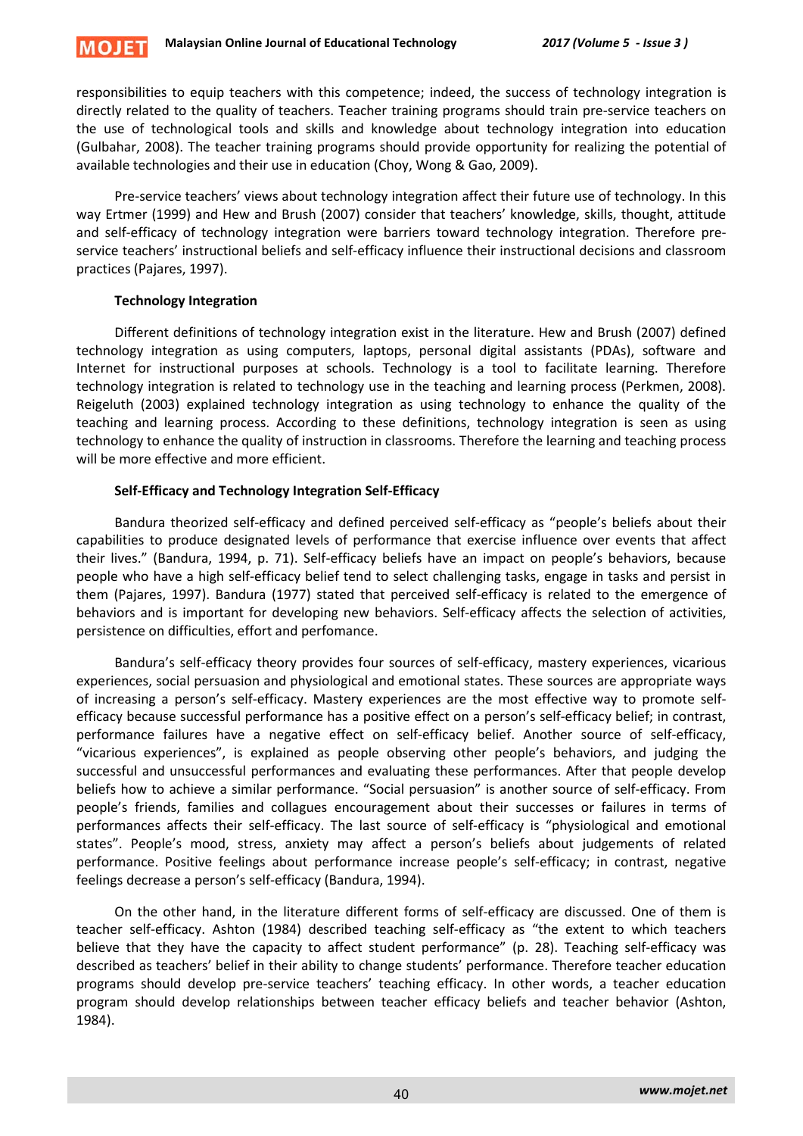

responsibilities to equip teachers with this competence; indeed, the success of technology integration is directly related to the quality of teachers. Teacher training programs should train pre-service teachers on the use of technological tools and skills and knowledge about technology integration into education (Gulbahar, 2008). The teacher training programs should provide opportunity for realizing the potential of available technologies and their use in education (Choy, Wong & Gao, 2009).

Pre-service teachers' views about technology integration affect their future use of technology. In this way Ertmer (1999) and Hew and Brush (2007) consider that teachers' knowledge, skills, thought, attitude and self-efficacy of technology integration were barriers toward technology integration. Therefore preservice teachers' instructional beliefs and self-efficacy influence their instructional decisions and classroom practices (Pajares, 1997).

# **Technology Integration**

Different definitions of technology integration exist in the literature. Hew and Brush (2007) defined technology integration as using computers, laptops, personal digital assistants (PDAs), software and Internet for instructional purposes at schools. Technology is a tool to facilitate learning. Therefore technology integration is related to technology use in the teaching and learning process (Perkmen, 2008). Reigeluth (2003) explained technology integration as using technology to enhance the quality of the teaching and learning process. According to these definitions, technology integration is seen as using technology to enhance the quality of instruction in classrooms. Therefore the learning and teaching process will be more effective and more efficient.

# **Self-Efficacy and Technology Integration Self-Efficacy**

Bandura theorized self-efficacy and defined perceived self-efficacy as "people's beliefs about their capabilities to produce designated levels of performance that exercise influence over events that affect their lives." (Bandura, 1994, p. 71). Self-efficacy beliefs have an impact on people's behaviors, because people who have a high self-efficacy belief tend to select challenging tasks, engage in tasks and persist in them (Pajares, 1997). Bandura (1977) stated that perceived self-efficacy is related to the emergence of behaviors and is important for developing new behaviors. Self-efficacy affects the selection of activities, persistence on difficulties, effort and perfomance.

Bandura's self-efficacy theory provides four sources of self-efficacy, mastery experiences, vicarious experiences, social persuasion and physiological and emotional states. These sources are appropriate ways of increasing a person's self-efficacy. Mastery experiences are the most effective way to promote selfefficacy because successful performance has a positive effect on a person's self-efficacy belief; in contrast, performance failures have a negative effect on self-efficacy belief. Another source of self-efficacy, "vicarious experiences", is explained as people observing other people's behaviors, and judging the successful and unsuccessful performances and evaluating these performances. After that people develop beliefs how to achieve a similar performance. "Social persuasion" is another source of self-efficacy. From people's friends, families and collagues encouragement about their successes or failures in terms of performances affects their self-efficacy. The last source of self-efficacy is "physiological and emotional states". People's mood, stress, anxiety may affect a person's beliefs about judgements of related performance. Positive feelings about performance increase people's self-efficacy; in contrast, negative feelings decrease a person's self-efficacy (Bandura, 1994).

On the other hand, in the literature different forms of self-efficacy are discussed. One of them is teacher self-efficacy. Ashton (1984) described teaching self-efficacy as "the extent to which teachers believe that they have the capacity to affect student performance" (p. 28). Teaching self-efficacy was described as teachers' belief in their ability to change students' performance. Therefore teacher education programs should develop pre-service teachers' teaching efficacy. In other words, a teacher education program should develop relationships between teacher efficacy beliefs and teacher behavior (Ashton, 1984).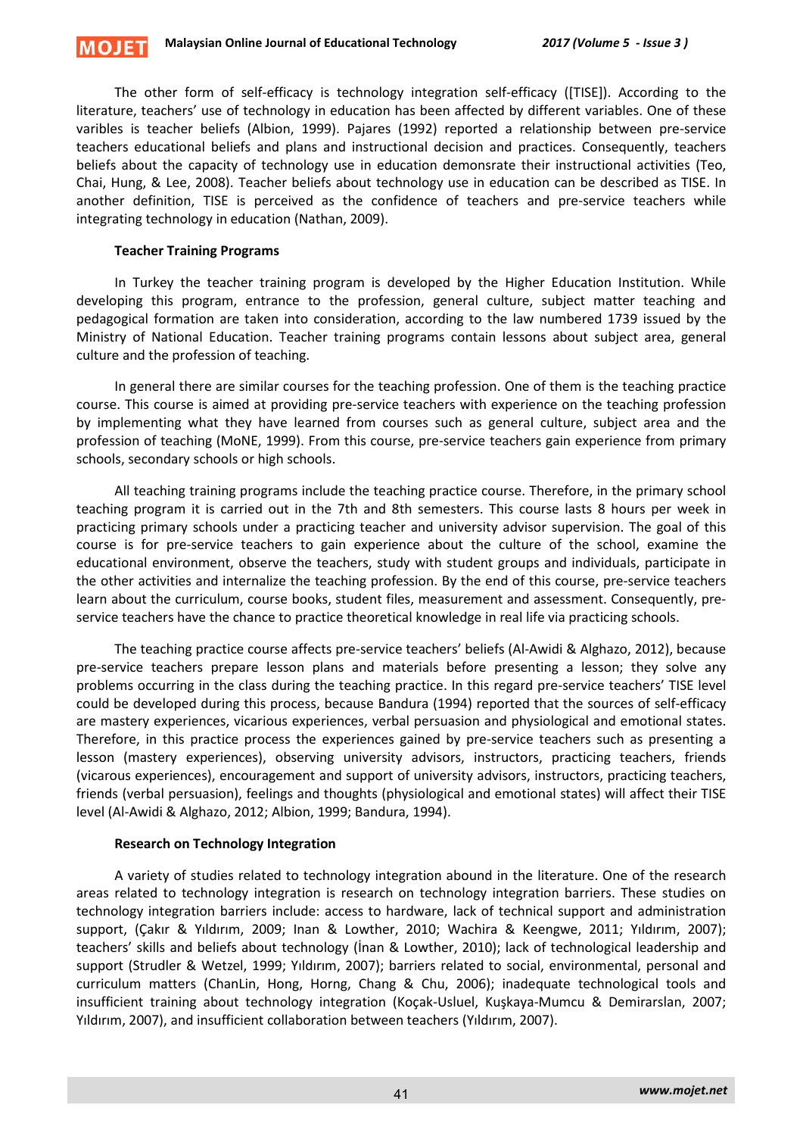The other form of self-efficacy is technology integration self-efficacy ([TISE]). According to the literature, teachers' use of technology in education has been affected by different variables. One of these varibles is teacher beliefs (Albion, 1999). Pajares (1992) reported a relationship between pre-service teachers educational beliefs and plans and instructional decision and practices. Consequently, teachers beliefs about the capacity of technology use in education demonsrate their instructional activities (Teo, Chai, Hung, & Lee, 2008). Teacher beliefs about technology use in education can be described as TISE. In another definition, TISE is perceived as the confidence of teachers and pre-service teachers while integrating technology in education (Nathan, 2009).

#### **Teacher Training Programs**

In Turkey the teacher training program is developed by the Higher Education Institution. While developing this program, entrance to the profession, general culture, subject matter teaching and pedagogical formation are taken into consideration, according to the law numbered 1739 issued by the Ministry of National Education. Teacher training programs contain lessons about subject area, general culture and the profession of teaching.

In general there are similar courses for the teaching profession. One of them is the teaching practice course. This course is aimed at providing pre-service teachers with experience on the teaching profession by implementing what they have learned from courses such as general culture, subject area and the profession of teaching (MoNE, 1999). From this course, pre-service teachers gain experience from primary schools, secondary schools or high schools.

All teaching training programs include the teaching practice course. Therefore, in the primary school teaching program it is carried out in the 7th and 8th semesters. This course lasts 8 hours per week in practicing primary schools under a practicing teacher and university advisor supervision. The goal of this course is for pre-service teachers to gain experience about the culture of the school, examine the educational environment, observe the teachers, study with student groups and individuals, participate in the other activities and internalize the teaching profession. By the end of this course, pre-service teachers learn about the curriculum, course books, student files, measurement and assessment. Consequently, preservice teachers have the chance to practice theoretical knowledge in real life via practicing schools.

The teaching practice course affects pre-service teachers' beliefs (Al-Awidi & Alghazo, 2012), because pre-service teachers prepare lesson plans and materials before presenting a lesson; they solve any problems occurring in the class during the teaching practice. In this regard pre-service teachers' TISE level could be developed during this process, because Bandura (1994) reported that the sources of self-efficacy are mastery experiences, vicarious experiences, verbal persuasion and physiological and emotional states. Therefore, in this practice process the experiences gained by pre-service teachers such as presenting a lesson (mastery experiences), observing university advisors, instructors, practicing teachers, friends (vicarous experiences), encouragement and support of university advisors, instructors, practicing teachers, friends (verbal persuasion), feelings and thoughts (physiological and emotional states) will affect their TISE level (Al-Awidi & Alghazo, 2012; Albion, 1999; Bandura, 1994).

#### **Research on Technology Integration**

A variety of studies related to technology integration abound in the literature. One of the research areas related to technology integration is research on technology integration barriers. These studies on technology integration barriers include: access to hardware, lack of technical support and administration support, (Çakır & Yıldırım, 2009; Inan & Lowther, 2010; Wachira & Keengwe, 2011; Yıldırım, 2007); teachers' skills and beliefs about technology (İnan & Lowther, 2010); lack of technological leadership and support (Strudler & Wetzel, 1999; Yıldırım, 2007); barriers related to social, environmental, personal and curriculum matters (ChanLin, Hong, Horng, Chang & Chu, 2006); inadequate technological tools and insufficient training about technology integration (Koçak-Usluel, Kuşkaya-Mumcu & Demirarslan, 2007; Yıldırım, 2007), and insufficient collaboration between teachers (Yıldırım, 2007).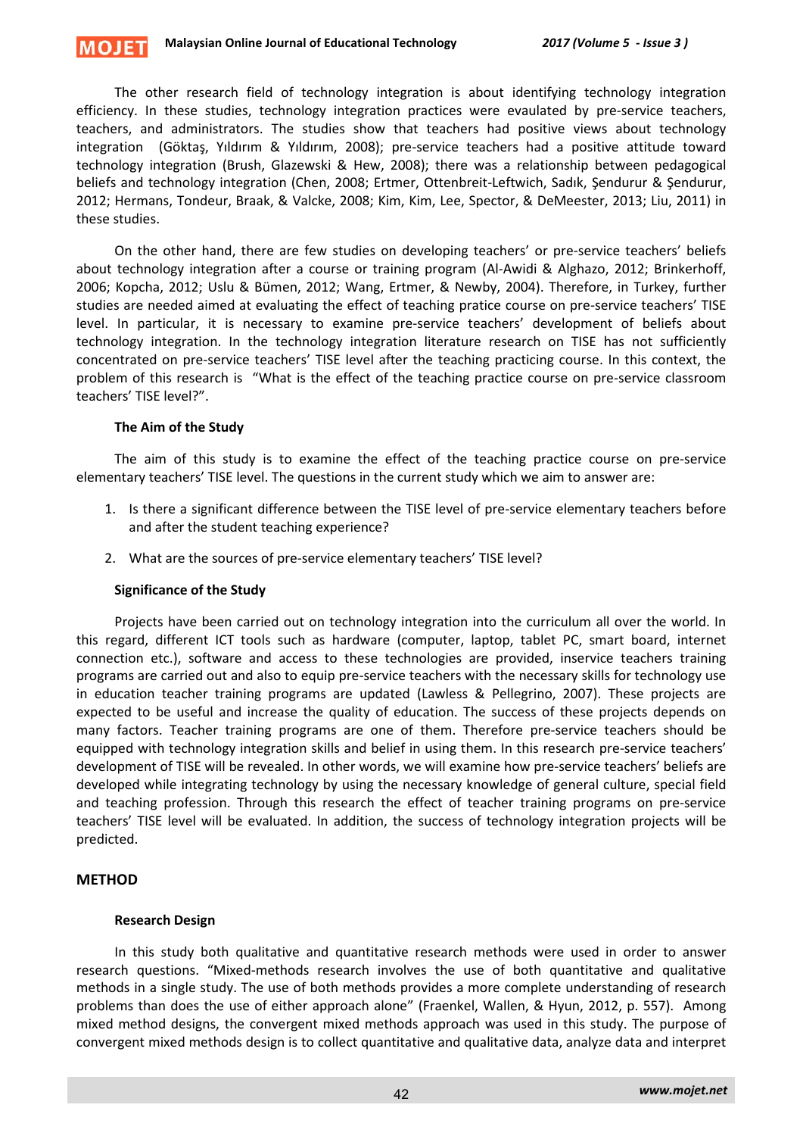#### **Malaysian Online Journal of Educational Technology** *2017 (Volume 5 - Issue 3 )* **MOJET**

The other research field of technology integration is about identifying technology integration efficiency. In these studies, technology integration practices were evaulated by pre-service teachers, teachers, and administrators. The studies show that teachers had positive views about technology integration (Göktaş, Yıldırım & Yıldırım, 2008); pre-service teachers had a positive attitude toward technology integration (Brush, Glazewski & Hew, 2008); there was a relationship between pedagogical beliefs and technology integration (Chen, 2008; Ertmer, Ottenbreit-Leftwich, Sadık, Şendurur & Şendurur, 2012; Hermans, Tondeur, Braak, & Valcke, 2008; Kim, Kim, Lee, Spector, & DeMeester, 2013; Liu, 2011) in these studies.

On the other hand, there are few studies on developing teachers' or pre-service teachers' beliefs about technology integration after a course or training program (Al-Awidi & Alghazo, 2012; Brinkerhoff, 2006; Kopcha, 2012; Uslu & Bümen, 2012; Wang, Ertmer, & Newby, 2004). Therefore, in Turkey, further studies are needed aimed at evaluating the effect of teaching pratice course on pre-service teachers' TISE level. In particular, it is necessary to examine pre-service teachers' development of beliefs about technology integration. In the technology integration literature research on TISE has not sufficiently concentrated on pre-service teachers' TISE level after the teaching practicing course. In this context, the problem of this research is "What is the effect of the teaching practice course on pre-service classroom teachers' TISE level?".

# **The Aim of the Study**

The aim of this study is to examine the effect of the teaching practice course on pre-service elementary teachers' TISE level. The questions in the current study which we aim to answer are:

- 1. Is there a significant difference between the TISE level of pre-service elementary teachers before and after the student teaching experience?
- 2. What are the sources of pre-service elementary teachers' TISE level?

#### **Significance of the Study**

Projects have been carried out on technology integration into the curriculum all over the world. In this regard, different ICT tools such as hardware (computer, laptop, tablet PC, smart board, internet connection etc.), software and access to these technologies are provided, inservice teachers training programs are carried out and also to equip pre-service teachers with the necessary skills for technology use in education teacher training programs are updated (Lawless & Pellegrino, 2007). These projects are expected to be useful and increase the quality of education. The success of these projects depends on many factors. Teacher training programs are one of them. Therefore pre-service teachers should be equipped with technology integration skills and belief in using them. In this research pre-service teachers' development of TISE will be revealed. In other words, we will examine how pre-service teachers' beliefs are developed while integrating technology by using the necessary knowledge of general culture, special field and teaching profession. Through this research the effect of teacher training programs on pre-service teachers' TISE level will be evaluated. In addition, the success of technology integration projects will be predicted.

# **METHOD**

# **Research Design**

In this study both qualitative and quantitative research methods were used in order to answer research questions. "Mixed-methods research involves the use of both quantitative and qualitative methods in a single study. The use of both methods provides a more complete understanding of research problems than does the use of either approach alone" (Fraenkel, Wallen, & Hyun, 2012, p. 557). Among mixed method designs, the convergent mixed methods approach was used in this study. The purpose of convergent mixed methods design is to collect quantitative and qualitative data, analyze data and interpret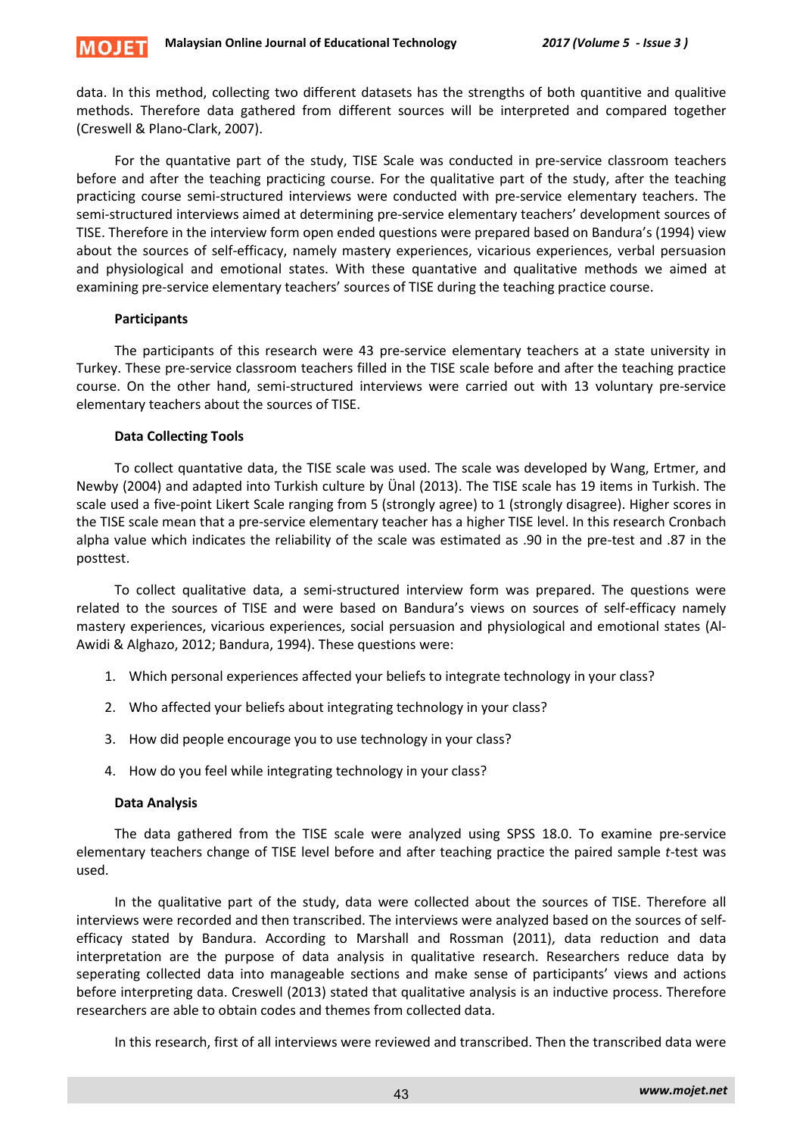

data. In this method, collecting two different datasets has the strengths of both quantitive and qualitive methods. Therefore data gathered from different sources will be interpreted and compared together (Creswell & Plano-Clark, 2007).

For the quantative part of the study, TISE Scale was conducted in pre-service classroom teachers before and after the teaching practicing course. For the qualitative part of the study, after the teaching practicing course semi-structured interviews were conducted with pre-service elementary teachers. The semi-structured interviews aimed at determining pre-service elementary teachers' development sources of TISE. Therefore in the interview form open ended questions were prepared based on Bandura's (1994) view about the sources of self-efficacy, namely mastery experiences, vicarious experiences, verbal persuasion and physiological and emotional states. With these quantative and qualitative methods we aimed at examining pre-service elementary teachers' sources of TISE during the teaching practice course.

### **Participants**

The participants of this research were 43 pre-service elementary teachers at a state university in Turkey. These pre-service classroom teachers filled in the TISE scale before and after the teaching practice course. On the other hand, semi-structured interviews were carried out with 13 voluntary pre-service elementary teachers about the sources of TISE.

### **Data Collecting Tools**

To collect quantative data, the TISE scale was used. The scale was developed by Wang, Ertmer, and Newby (2004) and adapted into Turkish culture by Ünal (2013). The TISE scale has 19 items in Turkish. The scale used a five-point Likert Scale ranging from 5 (strongly agree) to 1 (strongly disagree). Higher scores in the TISE scale mean that a pre-service elementary teacher has a higher TISE level. In this research Cronbach alpha value which indicates the reliability of the scale was estimated as .90 in the pre-test and .87 in the posttest.

To collect qualitative data, a semi-structured interview form was prepared. The questions were related to the sources of TISE and were based on Bandura's views on sources of self-efficacy namely mastery experiences, vicarious experiences, social persuasion and physiological and emotional states (Al-Awidi & Alghazo, 2012; Bandura, 1994). These questions were:

- 1. Which personal experiences affected your beliefs to integrate technology in your class?
- 2. Who affected your beliefs about integrating technology in your class?
- 3. How did people encourage you to use technology in your class?
- 4. How do you feel while integrating technology in your class?

# **Data Analysis**

The data gathered from the TISE scale were analyzed using SPSS 18.0. To examine pre-service elementary teachers change of TISE level before and after teaching practice the paired sample *t*-test was used.

In the qualitative part of the study, data were collected about the sources of TISE. Therefore all interviews were recorded and then transcribed. The interviews were analyzed based on the sources of selfefficacy stated by Bandura. According to Marshall and Rossman (2011), data reduction and data interpretation are the purpose of data analysis in qualitative research. Researchers reduce data by seperating collected data into manageable sections and make sense of participants' views and actions before interpreting data. Creswell (2013) stated that qualitative analysis is an inductive process. Therefore researchers are able to obtain codes and themes from collected data.

In this research, first of all interviews were reviewed and transcribed. Then the transcribed data were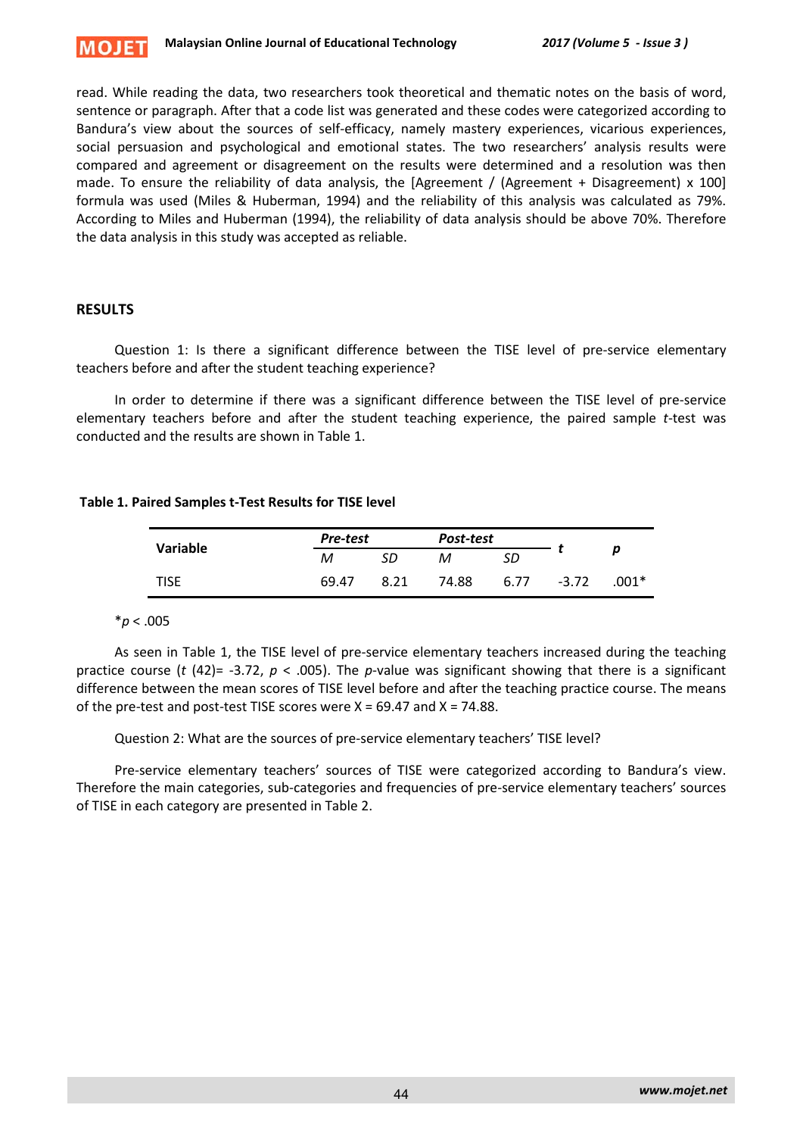

read. While reading the data, two researchers took theoretical and thematic notes on the basis of word, sentence or paragraph. After that a code list was generated and these codes were categorized according to Bandura's view about the sources of self-efficacy, namely mastery experiences, vicarious experiences, social persuasion and psychological and emotional states. The two researchers' analysis results were compared and agreement or disagreement on the results were determined and a resolution was then made. To ensure the reliability of data analysis, the [Agreement / (Agreement + Disagreement) x 100] formula was used (Miles & Huberman, 1994) and the reliability of this analysis was calculated as 79%. According to Miles and Huberman (1994), the reliability of data analysis should be above 70%. Therefore the data analysis in this study was accepted as reliable.

# **RESULTS**

Question 1: Is there a significant difference between the TISE level of pre-service elementary teachers before and after the student teaching experience?

In order to determine if there was a significant difference between the TISE level of pre-service elementary teachers before and after the student teaching experience, the paired sample *t*-test was conducted and the results are shown in Table 1.

### **Table 1. Paired Samples t-Test Results for TISE level**

| Variable    | Pre-test |      | Post-test |      |         |       |
|-------------|----------|------|-----------|------|---------|-------|
|             | м        | SD   | м         | SD   |         | p     |
| <b>TISE</b> | 69.47    | 8.21 | 74.88     | 6.77 | $-3.72$ | .001* |

\**p* < .005

As seen in Table 1, the TISE level of pre-service elementary teachers increased during the teaching practice course (*t* (42)= -3.72, *p* < .005). The *p*-value was significant showing that there is a significant difference between the mean scores of TISE level before and after the teaching practice course. The means of the pre-test and post-test TISE scores were  $X = 69.47$  and  $X = 74.88$ .

Question 2: What are the sources of pre-service elementary teachers' TISE level?

Pre-service elementary teachers' sources of TISE were categorized according to Bandura's view. Therefore the main categories, sub-categories and frequencies of pre-service elementary teachers' sources of TISE in each category are presented in Table 2.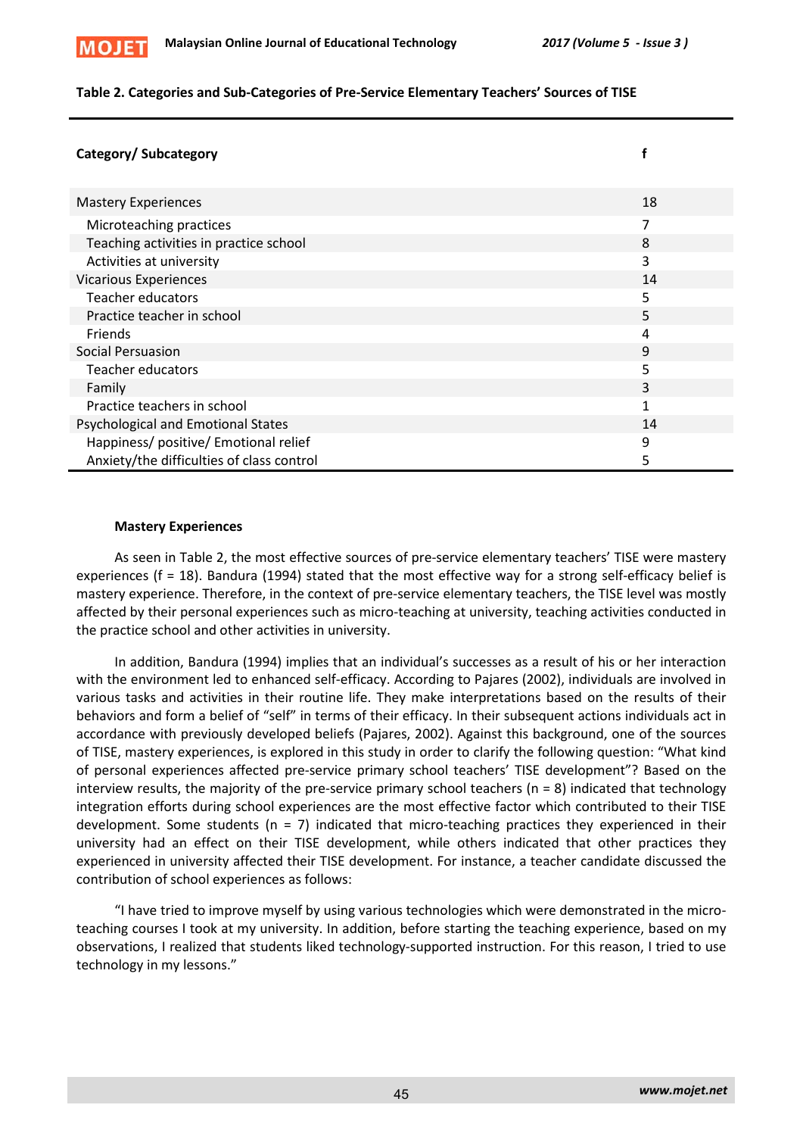

### **Table 2. Categories and Sub-Categories of Pre-Service Elementary Teachers' Sources of TISE**

| Category/Subcategory                      |              |
|-------------------------------------------|--------------|
| <b>Mastery Experiences</b>                | 18           |
| Microteaching practices                   | 7            |
| Teaching activities in practice school    | 8            |
| Activities at university                  | 3            |
| <b>Vicarious Experiences</b>              | 14           |
| <b>Teacher educators</b>                  | 5            |
| Practice teacher in school                | 5            |
| <b>Friends</b>                            | 4            |
| Social Persuasion                         | 9            |
| Teacher educators                         | 5            |
| Family                                    | 3            |
| Practice teachers in school               | $\mathbf{1}$ |
| Psychological and Emotional States        | 14           |
| Happiness/ positive/ Emotional relief     | 9            |
| Anxiety/the difficulties of class control | 5            |

### **Mastery Experiences**

As seen in Table 2, the most effective sources of pre-service elementary teachers' TISE were mastery experiences (f = 18). Bandura (1994) stated that the most effective way for a strong self-efficacy belief is mastery experience. Therefore, in the context of pre-service elementary teachers, the TISE level was mostly affected by their personal experiences such as micro-teaching at university, teaching activities conducted in the practice school and other activities in university.

In addition, Bandura (1994) implies that an individual's successes as a result of his or her interaction with the environment led to enhanced self-efficacy. According to Pajares (2002), individuals are involved in various tasks and activities in their routine life. They make interpretations based on the results of their behaviors and form a belief of "self" in terms of their efficacy. In their subsequent actions individuals act in accordance with previously developed beliefs (Pajares, 2002). Against this background, one of the sources of TISE, mastery experiences, is explored in this study in order to clarify the following question: "What kind of personal experiences affected pre-service primary school teachers' TISE development"? Based on the interview results, the majority of the pre-service primary school teachers (n = 8) indicated that technology integration efforts during school experiences are the most effective factor which contributed to their TISE development. Some students ( $n = 7$ ) indicated that micro-teaching practices they experienced in their university had an effect on their TISE development, while others indicated that other practices they experienced in university affected their TISE development. For instance, a teacher candidate discussed the contribution of school experiences as follows:

"I have tried to improve myself by using various technologies which were demonstrated in the microteaching courses I took at my university. In addition, before starting the teaching experience, based on my observations, I realized that students liked technology-supported instruction. For this reason, I tried to use technology in my lessons."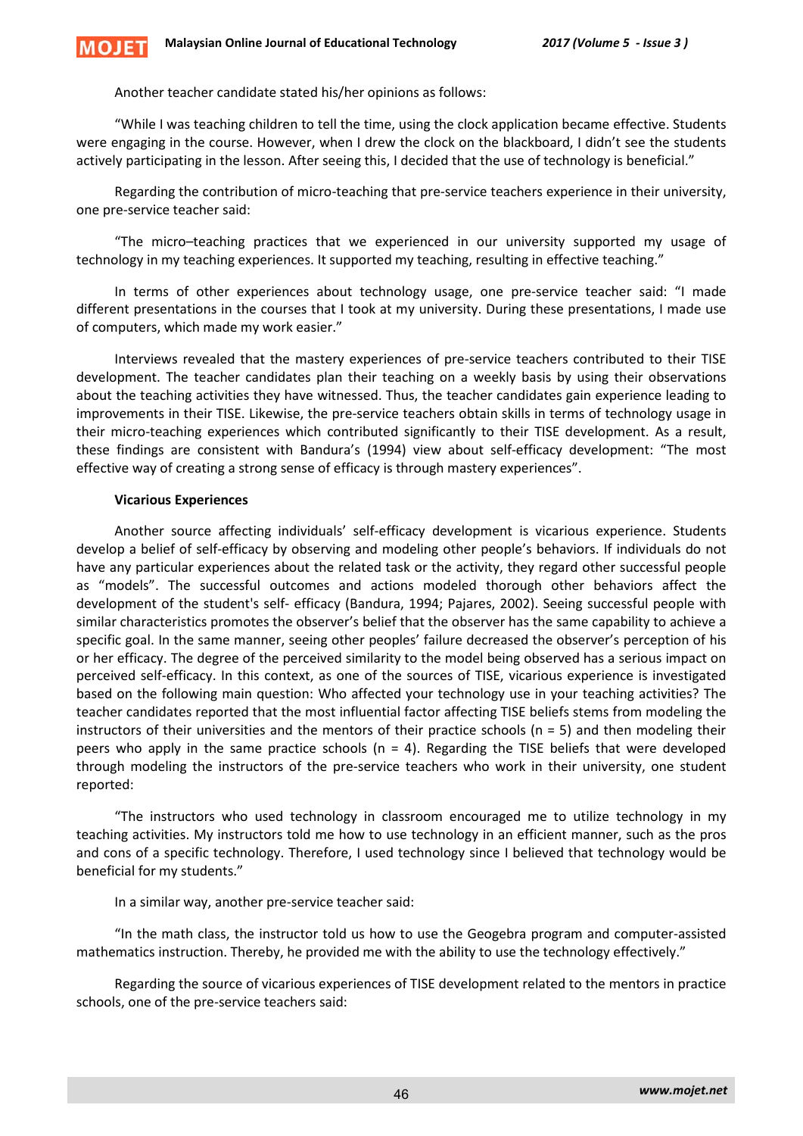Another teacher candidate stated his/her opinions as follows:

"While I was teaching children to tell the time, using the clock application became effective. Students were engaging in the course. However, when I drew the clock on the blackboard, I didn't see the students actively participating in the lesson. After seeing this, I decided that the use of technology is beneficial."

Regarding the contribution of micro-teaching that pre-service teachers experience in their university, one pre-service teacher said:

"The micro–teaching practices that we experienced in our university supported my usage of technology in my teaching experiences. It supported my teaching, resulting in effective teaching."

In terms of other experiences about technology usage, one pre-service teacher said: "I made different presentations in the courses that I took at my university. During these presentations, I made use of computers, which made my work easier."

Interviews revealed that the mastery experiences of pre-service teachers contributed to their TISE development. The teacher candidates plan their teaching on a weekly basis by using their observations about the teaching activities they have witnessed. Thus, the teacher candidates gain experience leading to improvements in their TISE. Likewise, the pre-service teachers obtain skills in terms of technology usage in their micro-teaching experiences which contributed significantly to their TISE development. As a result, these findings are consistent with Bandura's (1994) view about self-efficacy development: "The most effective way of creating a strong sense of efficacy is through mastery experiences".

# **Vicarious Experiences**

Another source affecting individuals' self-efficacy development is vicarious experience. Students develop a belief of self-efficacy by observing and modeling other people's behaviors. If individuals do not have any particular experiences about the related task or the activity, they regard other successful people as "models". The successful outcomes and actions modeled thorough other behaviors affect the development of the student's self- efficacy (Bandura, 1994; Pajares, 2002). Seeing successful people with similar characteristics promotes the observer's belief that the observer has the same capability to achieve a specific goal. In the same manner, seeing other peoples' failure decreased the observer's perception of his or her efficacy. The degree of the perceived similarity to the model being observed has a serious impact on perceived self-efficacy. In this context, as one of the sources of TISE, vicarious experience is investigated based on the following main question: Who affected your technology use in your teaching activities? The teacher candidates reported that the most influential factor affecting TISE beliefs stems from modeling the instructors of their universities and the mentors of their practice schools ( $n = 5$ ) and then modeling their peers who apply in the same practice schools ( $n = 4$ ). Regarding the TISE beliefs that were developed through modeling the instructors of the pre-service teachers who work in their university, one student reported:

"The instructors who used technology in classroom encouraged me to utilize technology in my teaching activities. My instructors told me how to use technology in an efficient manner, such as the pros and cons of a specific technology. Therefore, I used technology since I believed that technology would be beneficial for my students."

In a similar way, another pre-service teacher said:

"In the math class, the instructor told us how to use the Geogebra program and computer-assisted mathematics instruction. Thereby, he provided me with the ability to use the technology effectively."

Regarding the source of vicarious experiences of TISE development related to the mentors in practice schools, one of the pre-service teachers said: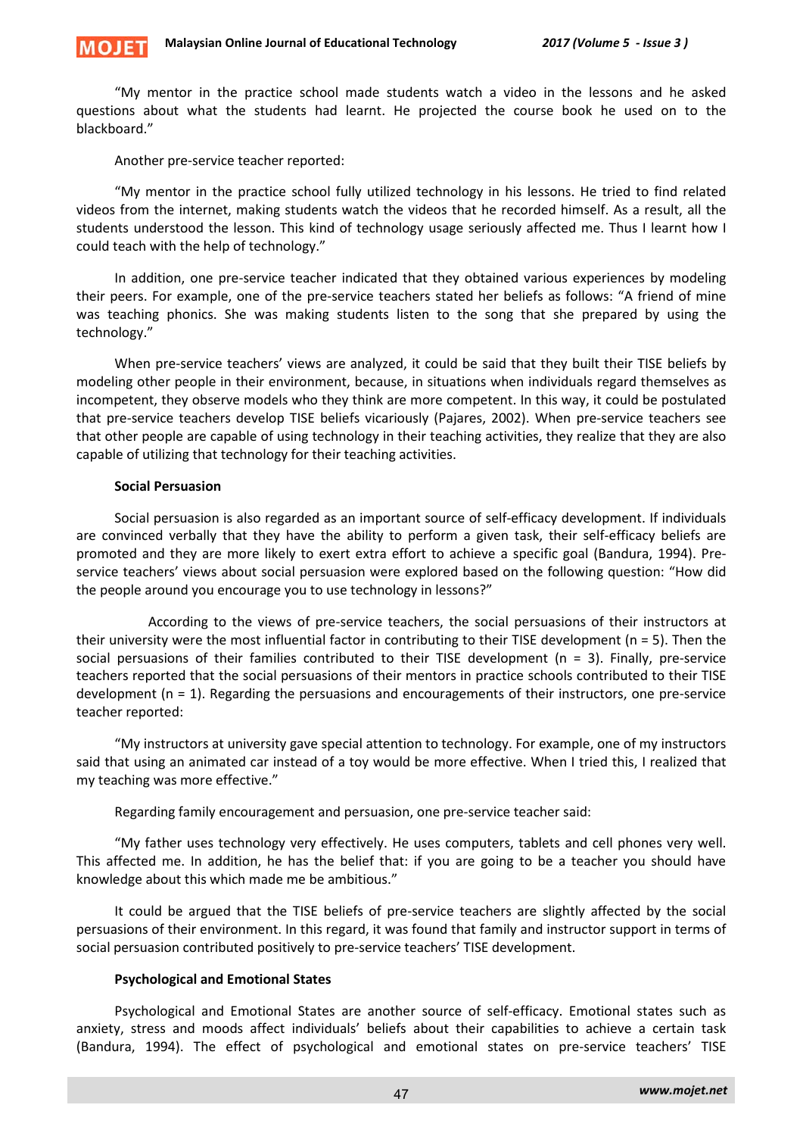"My mentor in the practice school made students watch a video in the lessons and he asked questions about what the students had learnt. He projected the course book he used on to the blackboard."

Another pre-service teacher reported:

MOIF

"My mentor in the practice school fully utilized technology in his lessons. He tried to find related videos from the internet, making students watch the videos that he recorded himself. As a result, all the students understood the lesson. This kind of technology usage seriously affected me. Thus I learnt how I could teach with the help of technology."

In addition, one pre-service teacher indicated that they obtained various experiences by modeling their peers. For example, one of the pre-service teachers stated her beliefs as follows: "A friend of mine was teaching phonics. She was making students listen to the song that she prepared by using the technology."

When pre-service teachers' views are analyzed, it could be said that they built their TISE beliefs by modeling other people in their environment, because, in situations when individuals regard themselves as incompetent, they observe models who they think are more competent. In this way, it could be postulated that pre-service teachers develop TISE beliefs vicariously (Pajares, 2002). When pre-service teachers see that other people are capable of using technology in their teaching activities, they realize that they are also capable of utilizing that technology for their teaching activities.

#### **Social Persuasion**

Social persuasion is also regarded as an important source of self-efficacy development. If individuals are convinced verbally that they have the ability to perform a given task, their self-efficacy beliefs are promoted and they are more likely to exert extra effort to achieve a specific goal (Bandura, 1994). Preservice teachers' views about social persuasion were explored based on the following question: "How did the people around you encourage you to use technology in lessons?"

 According to the views of pre-service teachers, the social persuasions of their instructors at their university were the most influential factor in contributing to their TISE development (n = 5). Then the social persuasions of their families contributed to their TISE development (n = 3). Finally, pre-service teachers reported that the social persuasions of their mentors in practice schools contributed to their TISE development (n = 1). Regarding the persuasions and encouragements of their instructors, one pre-service teacher reported:

"My instructors at university gave special attention to technology. For example, one of my instructors said that using an animated car instead of a toy would be more effective. When I tried this, I realized that my teaching was more effective."

Regarding family encouragement and persuasion, one pre-service teacher said:

"My father uses technology very effectively. He uses computers, tablets and cell phones very well. This affected me. In addition, he has the belief that: if you are going to be a teacher you should have knowledge about this which made me be ambitious."

It could be argued that the TISE beliefs of pre-service teachers are slightly affected by the social persuasions of their environment. In this regard, it was found that family and instructor support in terms of social persuasion contributed positively to pre-service teachers' TISE development.

#### **Psychological and Emotional States**

Psychological and Emotional States are another source of self-efficacy. Emotional states such as anxiety, stress and moods affect individuals' beliefs about their capabilities to achieve a certain task (Bandura, 1994). The effect of psychological and emotional states on pre-service teachers' TISE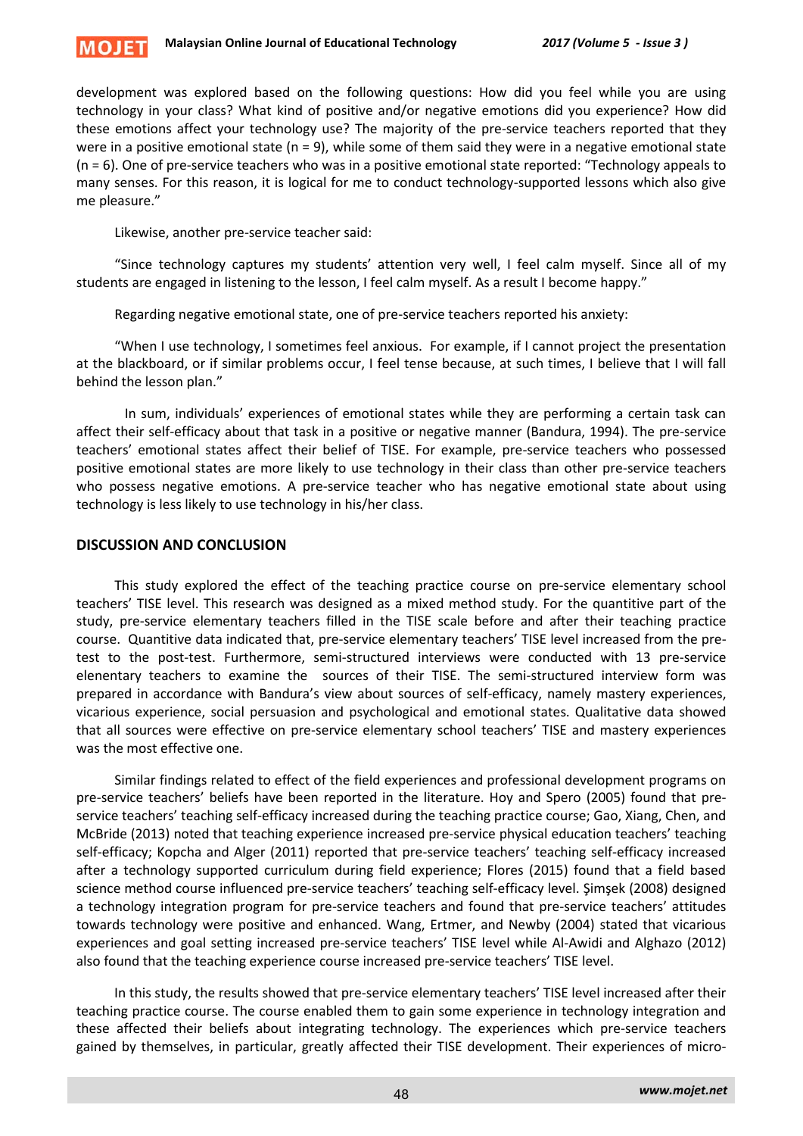

development was explored based on the following questions: How did you feel while you are using technology in your class? What kind of positive and/or negative emotions did you experience? How did these emotions affect your technology use? The majority of the pre-service teachers reported that they were in a positive emotional state (n = 9), while some of them said they were in a negative emotional state (n = 6). One of pre-service teachers who was in a positive emotional state reported: "Technology appeals to many senses. For this reason, it is logical for me to conduct technology-supported lessons which also give me pleasure."

Likewise, another pre-service teacher said:

"Since technology captures my students' attention very well, I feel calm myself. Since all of my students are engaged in listening to the lesson, I feel calm myself. As a result I become happy."

Regarding negative emotional state, one of pre-service teachers reported his anxiety:

"When I use technology, I sometimes feel anxious. For example, if I cannot project the presentation at the blackboard, or if similar problems occur, I feel tense because, at such times, I believe that I will fall behind the lesson plan."

 In sum, individuals' experiences of emotional states while they are performing a certain task can affect their self-efficacy about that task in a positive or negative manner (Bandura, 1994). The pre-service teachers' emotional states affect their belief of TISE. For example, pre-service teachers who possessed positive emotional states are more likely to use technology in their class than other pre-service teachers who possess negative emotions. A pre-service teacher who has negative emotional state about using technology is less likely to use technology in his/her class.

# **DISCUSSION AND CONCLUSION**

This study explored the effect of the teaching practice course on pre-service elementary school teachers' TISE level. This research was designed as a mixed method study. For the quantitive part of the study, pre-service elementary teachers filled in the TISE scale before and after their teaching practice course. Quantitive data indicated that, pre-service elementary teachers' TISE level increased from the pretest to the post-test. Furthermore, semi-structured interviews were conducted with 13 pre-service elenentary teachers to examine the sources of their TISE. The semi-structured interview form was prepared in accordance with Bandura's view about sources of self-efficacy, namely mastery experiences, vicarious experience, social persuasion and psychological and emotional states. Qualitative data showed that all sources were effective on pre-service elementary school teachers' TISE and mastery experiences was the most effective one.

Similar findings related to effect of the field experiences and professional development programs on pre-service teachers' beliefs have been reported in the literature. Hoy and Spero (2005) found that preservice teachers' teaching self-efficacy increased during the teaching practice course; Gao, Xiang, Chen, and McBride (2013) noted that teaching experience increased pre-service physical education teachers' teaching self-efficacy; Kopcha and Alger (2011) reported that pre-service teachers' teaching self-efficacy increased after a technology supported curriculum during field experience; Flores (2015) found that a field based science method course influenced pre-service teachers' teaching self-efficacy level. Şimşek (2008) designed a technology integration program for pre-service teachers and found that pre-service teachers' attitudes towards technology were positive and enhanced. Wang, Ertmer, and Newby (2004) stated that vicarious experiences and goal setting increased pre-service teachers' TISE level while Al-Awidi and Alghazo (2012) also found that the teaching experience course increased pre-service teachers' TISE level.

In this study, the results showed that pre-service elementary teachers' TISE level increased after their teaching practice course. The course enabled them to gain some experience in technology integration and these affected their beliefs about integrating technology. The experiences which pre-service teachers gained by themselves, in particular, greatly affected their TISE development. Their experiences of micro-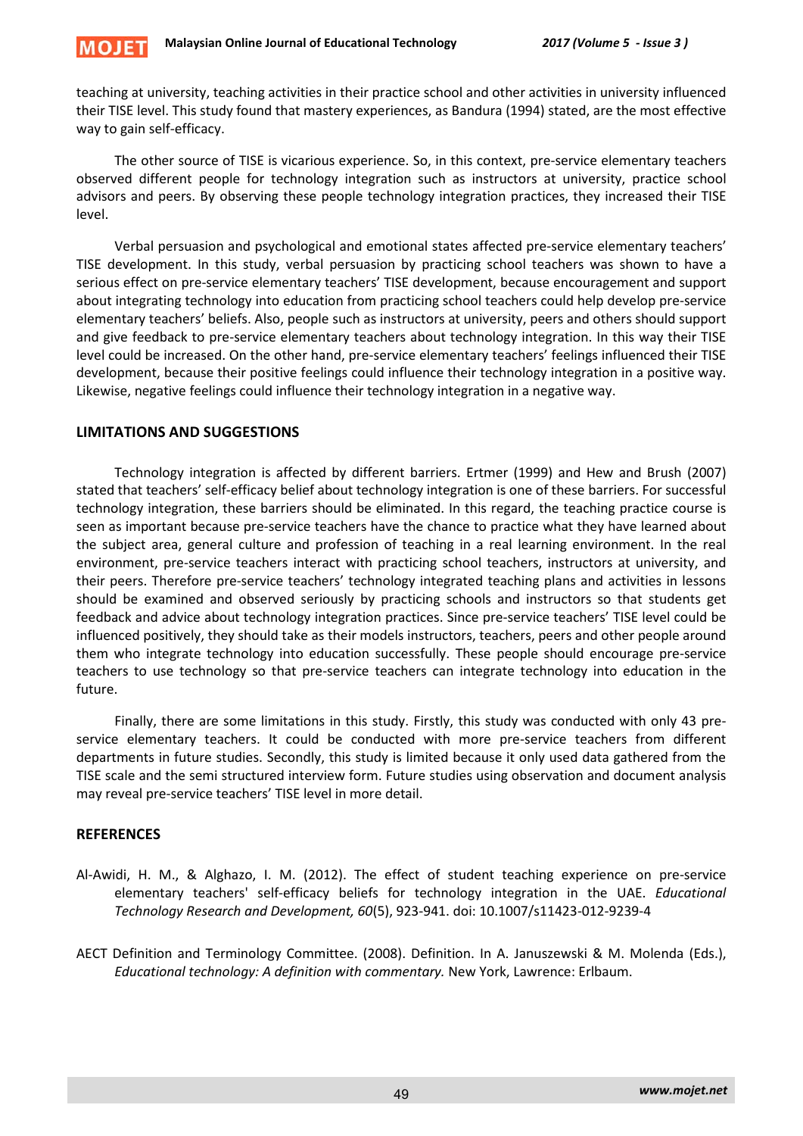

teaching at university, teaching activities in their practice school and other activities in university influenced their TISE level. This study found that mastery experiences, as Bandura (1994) stated, are the most effective way to gain self-efficacy.

The other source of TISE is vicarious experience. So, in this context, pre-service elementary teachers observed different people for technology integration such as instructors at university, practice school advisors and peers. By observing these people technology integration practices, they increased their TISE level.

Verbal persuasion and psychological and emotional states affected pre-service elementary teachers' TISE development. In this study, verbal persuasion by practicing school teachers was shown to have a serious effect on pre-service elementary teachers' TISE development, because encouragement and support about integrating technology into education from practicing school teachers could help develop pre-service elementary teachers' beliefs. Also, people such as instructors at university, peers and others should support and give feedback to pre-service elementary teachers about technology integration. In this way their TISE level could be increased. On the other hand, pre-service elementary teachers' feelings influenced their TISE development, because their positive feelings could influence their technology integration in a positive way. Likewise, negative feelings could influence their technology integration in a negative way.

### **LIMITATIONS AND SUGGESTIONS**

Technology integration is affected by different barriers. Ertmer (1999) and Hew and Brush (2007) stated that teachers' self-efficacy belief about technology integration is one of these barriers. For successful technology integration, these barriers should be eliminated. In this regard, the teaching practice course is seen as important because pre-service teachers have the chance to practice what they have learned about the subject area, general culture and profession of teaching in a real learning environment. In the real environment, pre-service teachers interact with practicing school teachers, instructors at university, and their peers. Therefore pre-service teachers' technology integrated teaching plans and activities in lessons should be examined and observed seriously by practicing schools and instructors so that students get feedback and advice about technology integration practices. Since pre-service teachers' TISE level could be influenced positively, they should take as their models instructors, teachers, peers and other people around them who integrate technology into education successfully. These people should encourage pre-service teachers to use technology so that pre-service teachers can integrate technology into education in the future.

Finally, there are some limitations in this study. Firstly, this study was conducted with only 43 preservice elementary teachers. It could be conducted with more pre-service teachers from different departments in future studies. Secondly, this study is limited because it only used data gathered from the TISE scale and the semi structured interview form. Future studies using observation and document analysis may reveal pre-service teachers' TISE level in more detail.

# **REFERENCES**

- Al-Awidi, H. M., & Alghazo, I. M. (2012). The effect of student teaching experience on pre-service elementary teachers' self-efficacy beliefs for technology integration in the UAE. *Educational Technology Research and Development, 60*(5), 923-941. doi: 10.1007/s11423-012-9239-4
- AECT Definition and Terminology Committee. (2008). Definition. In A. Januszewski & M. Molenda (Eds.), *Educational technology: A definition with commentary.* New York, Lawrence: Erlbaum.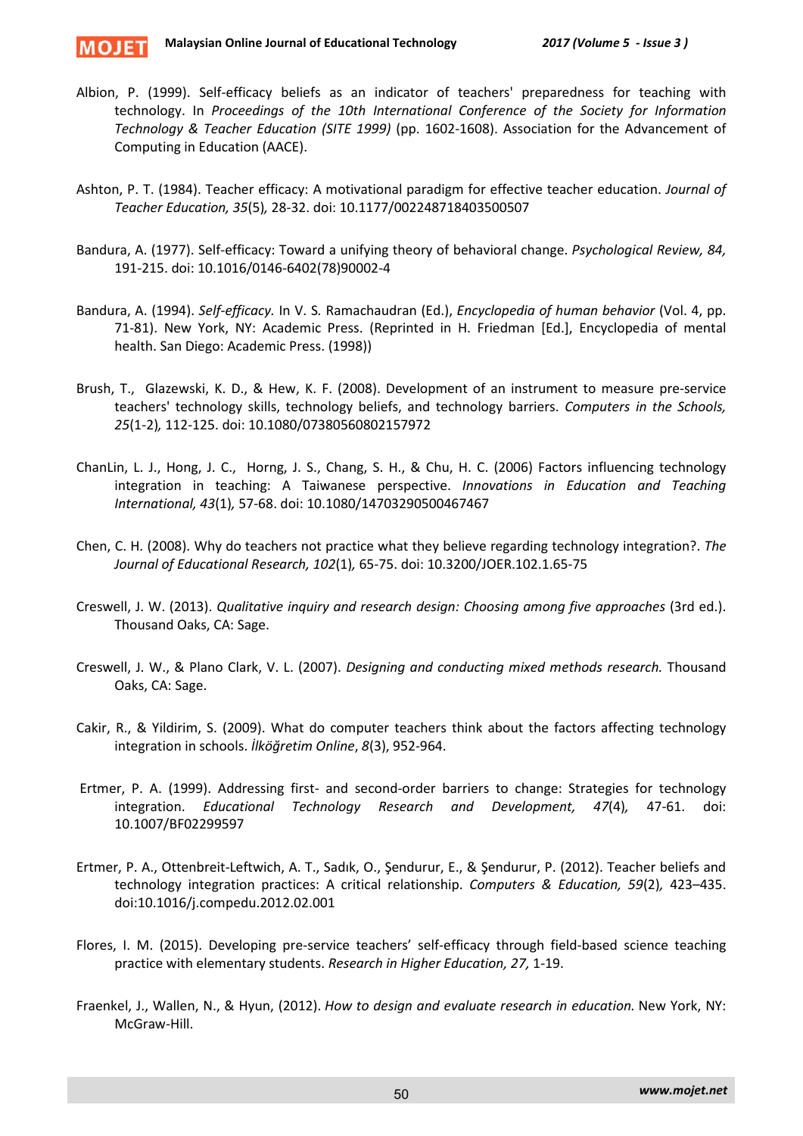

- Albion, P. (1999). Self-efficacy beliefs as an indicator of teachers' preparedness for teaching with technology. In *Proceedings of the 10th International Conference of the Society for Information Technology & Teacher Education (SITE 1999)* (pp. 1602-1608). Association for the Advancement of Computing in Education (AACE).
- Ashton, P. T. (1984). Teacher efficacy: A motivational paradigm for effective teacher education. *Journal of Teacher Education, 35*(5)*,* 28-32. doi: 10.1177/002248718403500507
- Bandura, A. (1977). Self-efficacy: Toward a unifying theory of behavioral change. *Psychological Review, 84,*  191-215. doi: 10.1016/0146-6402(78)90002-4
- Bandura, A. (1994). *Self-efficacy.* In V. S*.* Ramachaudran (Ed.), *Encyclopedia of human behavior* (Vol. 4, pp. 71-81). New York, NY: Academic Press. (Reprinted in H. Friedman [Ed.], Encyclopedia of mental health. San Diego: Academic Press. (1998))
- Brush, T., Glazewski, K. D., & Hew, K. F. (2008). Development of an instrument to measure pre-service teachers' technology skills, technology beliefs, and technology barriers. *Computers in the Schools, 25*(1-2)*,* 112-125. doi: 10.1080/07380560802157972
- ChanLin, L. J., Hong, J. C., Horng, J. S., Chang, S. H., & Chu, H. C. (2006) Factors influencing technology integration in teaching: A Taiwanese perspective. *Innovations in Education and Teaching International, 43*(1)*,* 57-68. doi: 10.1080/14703290500467467
- Chen, C. H. (2008). Why do teachers not practice what they believe regarding technology integration?. *The Journal of Educational Research, 102*(1)*,* 65-75. doi: 10.3200/JOER.102.1.65-75
- Creswell, J. W. (2013). *Qualitative inquiry and research design: Choosing among five approaches* (3rd ed.). Thousand Oaks, CA: Sage.
- Creswell, J. W., & Plano Clark, V. L. (2007). *Designing and conducting mixed methods research.* Thousand Oaks, CA: Sage.
- Cakir, R., & Yildirim, S. (2009). What do computer teachers think about the factors affecting technology integration in schools. *İlköğretim Online*, *8*(3), 952-964.
- Ertmer, P. A. (1999). Addressing first- and second-order barriers to change: Strategies for technology integration. *Educational Technology Research and Development, 47*(4)*,* 47-61. doi: 10.1007/BF02299597
- Ertmer, P. A., Ottenbreit-Leftwich, A. T., Sadık, O., Şendurur, E., & Şendurur, P. (2012). Teacher beliefs and technology integration practices: A critical relationship. *Computers & Education, 59*(2)*,* 423–435. doi:10.1016/j.compedu.2012.02.001
- Flores, I. M. (2015). Developing pre-service teachers' self-efficacy through field-based science teaching practice with elementary students. *Research in Higher Education, 27,* 1-19.
- Fraenkel, J., Wallen, N., & Hyun, (2012). *How to design and evaluate research in education.* New York, NY: McGraw-Hill.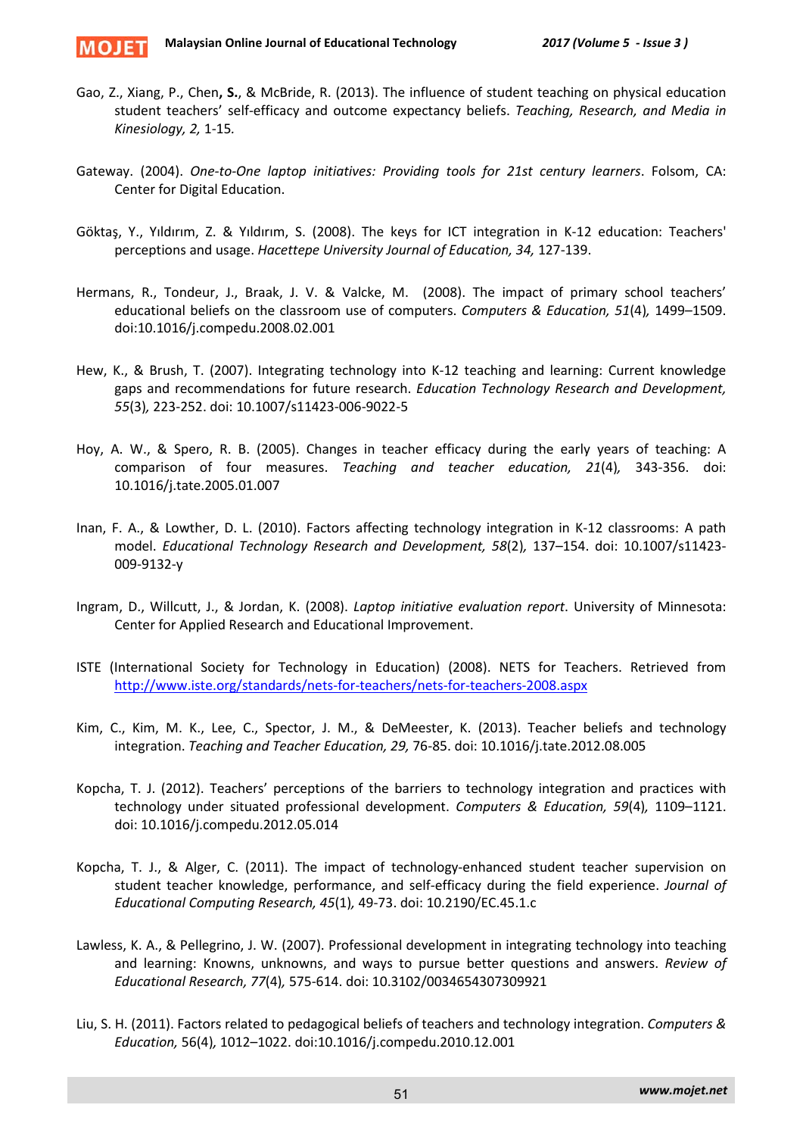

- Gao, Z., Xiang, P., Chen**, S.**, & McBride, R. (2013). The influence of student teaching on physical education student teachers' self-efficacy and outcome expectancy beliefs. *Teaching, Research, and Media in Kinesiology, 2,* 1-15*.*
- Gateway. (2004). *One-to-One laptop initiatives: Providing tools for 21st century learners*. Folsom, CA: Center for Digital Education.
- Göktaş, Y., Yıldırım, Z. & Yıldırım, S. (2008). The keys for ICT integration in K-12 education: Teachers' perceptions and usage. *Hacettepe University Journal of Education, 34,* 127-139.
- Hermans, R., Tondeur, J., Braak, J. V. & Valcke, M. (2008). The impact of primary school teachers' educational beliefs on the classroom use of computers. *Computers & Education, 51*(4)*,* 1499–1509. doi:10.1016/j.compedu.2008.02.001
- Hew, K., & Brush, T. (2007). Integrating technology into K-12 teaching and learning: Current knowledge gaps and recommendations for future research. *Education Technology Research and Development, 55*(3)*,* 223-252. doi: 10.1007/s11423-006-9022-5
- Hoy, A. W., & Spero, R. B. (2005). Changes in teacher efficacy during the early years of teaching: A comparison of four measures. *Teaching and teacher education, 21*(4)*,* 343-356. doi: 10.1016/j.tate.2005.01.007
- Inan, F. A., & Lowther, D. L. (2010). Factors affecting technology integration in K-12 classrooms: A path model. *Educational Technology Research and Development, 58*(2)*,* 137–154. doi: 10.1007/s11423- 009-9132-y
- Ingram, D., Willcutt, J., & Jordan, K. (2008). *Laptop initiative evaluation report*. University of Minnesota: Center for Applied Research and Educational Improvement.
- ISTE (International Society for Technology in Education) (2008). NETS for Teachers. Retrieved from <http://www.iste.org/standards/nets-for-teachers/nets-for-teachers-2008.aspx>
- Kim, C., Kim, M. K., Lee, C., Spector, J. M., & DeMeester, K. (2013). Teacher beliefs and technology integration. *Teaching and Teacher Education, 29,* 76-85. doi: 10.1016/j.tate.2012.08.005
- Kopcha, T. J. (2012). Teachers' perceptions of the barriers to technology integration and practices with technology under situated professional development. *Computers & Education, 59*(4)*,* 1109–1121. doi: 10.1016/j.compedu.2012.05.014
- Kopcha, T. J., & Alger, C. (2011). The impact of technology-enhanced student teacher supervision on student teacher knowledge, performance, and self-efficacy during the field experience. *Journal of Educational Computing Research, 45*(1)*,* 49-73. doi: 10.2190/EC.45.1.c
- Lawless, K. A., & Pellegrino, J. W. (2007). Professional development in integrating technology into teaching and learning: Knowns, unknowns, and ways to pursue better questions and answers. *Review of Educational Research, 77*(4)*,* 575-614. doi: 10.3102/0034654307309921
- Liu, S. H. (2011). Factors related to pedagogical beliefs of teachers and technology integration. *Computers & Education,* 56(4)*,* 1012–1022. doi:10.1016/j.compedu.2010.12.001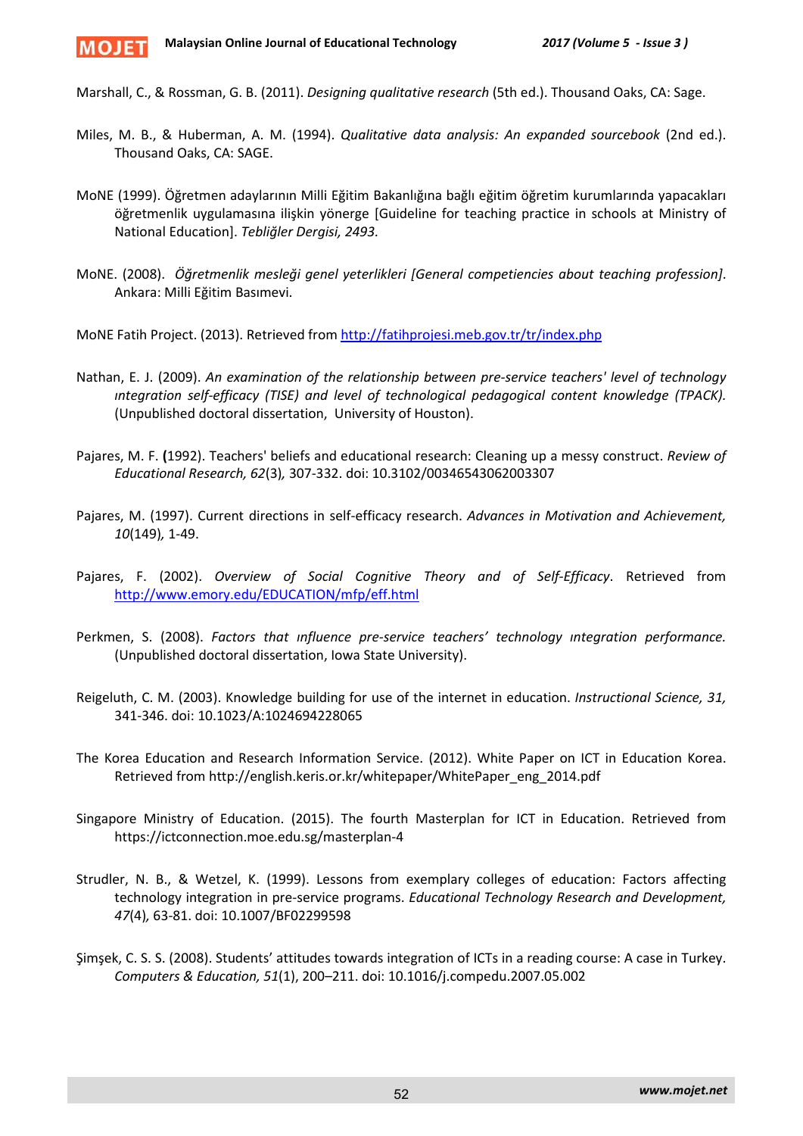

Marshall, C., & Rossman, G. B. (2011). *Designing qualitative research* (5th ed.). Thousand Oaks, CA: Sage.

- Miles, M. B., & Huberman, A. M. (1994). *Qualitative data analysis: An expanded sourcebook* (2nd ed.). Thousand Oaks, CA: SAGE.
- MoNE (1999). Öğretmen adaylarının Milli Eğitim Bakanlığına bağlı eğitim öğretim kurumlarında yapacakları öğretmenlik uygulamasına ilişkin yönerge [Guideline for teaching practice in schools at Ministry of National Education]. *Tebliğler Dergisi, 2493.*
- MoNE. (2008). *Öğretmenlik mesleği genel yeterlikleri [General competiencies about teaching profession]*. Ankara: Milli Eğitim Basımevi.

MoNE Fatih Project. (2013). Retrieved from<http://fatihprojesi.meb.gov.tr/tr/index.php>

- Nathan, E. J. (2009). *An examination of the relationship between pre-service teachers' level of technology ıntegration self-efficacy (TISE) and level of technological pedagogical content knowledge (TPACK).*  (Unpublished doctoral dissertation, University of Houston).
- Pajares, M. F. **(**1992). Teachers' beliefs and educational research: Cleaning up a messy construct. *Review of Educational Research, 62*(3)*,* 307-332. doi: 10.3102/00346543062003307
- Pajares, M. (1997). Current directions in self-efficacy research. *Advances in Motivation and Achievement, 10*(149)*,* 1-49.
- Pajares, F. (2002). *Overview of Social Cognitive Theory and of Self-Efficacy*. Retrieved from <http://www.emory.edu/EDUCATION/mfp/eff.html>
- Perkmen, S. (2008). *Factors that ınfluence pre-service teachers' technology ıntegration performance.* (Unpublished doctoral dissertation, Iowa State University).
- Reigeluth, C. M. (2003). Knowledge building for use of the internet in education. *Instructional Science, 31,* 341-346. doi: 10.1023/A:1024694228065
- The Korea Education and Research Information Service. (2012). White Paper on ICT in Education Korea. Retrieved from http://english.keris.or.kr/whitepaper/WhitePaper\_eng\_2014.pdf
- Singapore Ministry of Education. (2015). The fourth Masterplan for ICT in Education. Retrieved from https://ictconnection.moe.edu.sg/masterplan-4
- Strudler, N. B., & Wetzel, K. (1999). Lessons from exemplary colleges of education: Factors affecting technology integration in pre-service programs. *Educational Technology Research and Development, 47*(4)*,* 63-81. doi: 10.1007/BF02299598
- Şimşek, C. S. S. (2008). Students' attitudes towards integration of ICTs in a reading course: A case in Turkey. *Computers & Education, 51*(1), 200–211. doi: 10.1016/j.compedu.2007.05.002